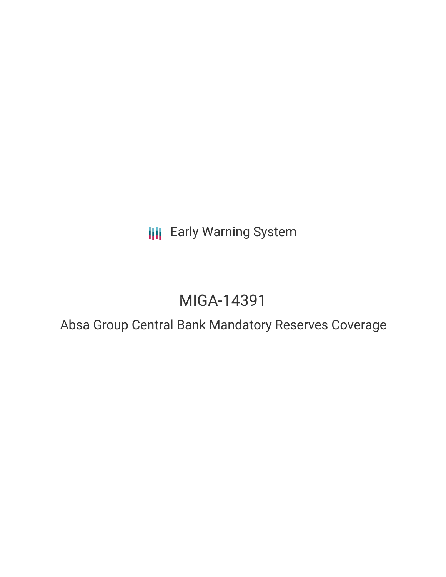**III** Early Warning System

# MIGA-14391

Absa Group Central Bank Mandatory Reserves Coverage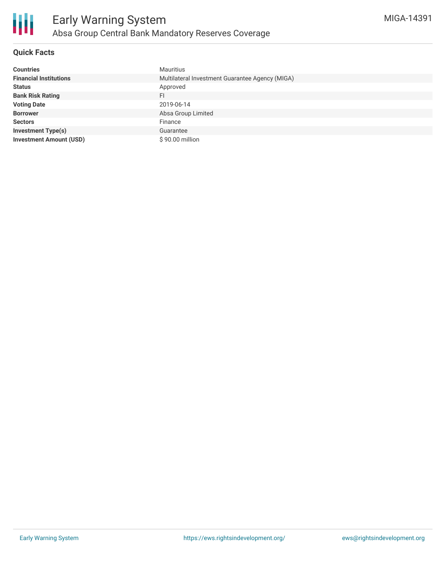#### **Quick Facts**

| <b>Countries</b>               | Mauritius                                       |
|--------------------------------|-------------------------------------------------|
| <b>Financial Institutions</b>  | Multilateral Investment Guarantee Agency (MIGA) |
| <b>Status</b>                  | Approved                                        |
| <b>Bank Risk Rating</b>        | FI                                              |
| <b>Voting Date</b>             | 2019-06-14                                      |
| <b>Borrower</b>                | Absa Group Limited                              |
| <b>Sectors</b>                 | Finance                                         |
| <b>Investment Type(s)</b>      | Guarantee                                       |
| <b>Investment Amount (USD)</b> | \$90.00 million                                 |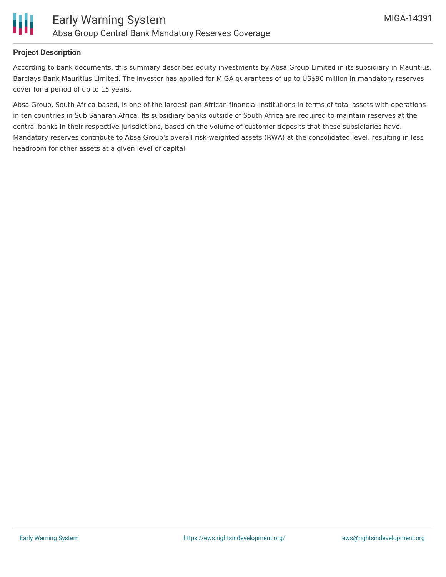

#### **Project Description**

Ш

According to bank documents, this summary describes equity investments by Absa Group Limited in its subsidiary in Mauritius, Barclays Bank Mauritius Limited. The investor has applied for MIGA guarantees of up to US\$90 million in mandatory reserves cover for a period of up to 15 years.

Absa Group, South Africa-based, is one of the largest pan-African financial institutions in terms of total assets with operations in ten countries in Sub Saharan Africa. Its subsidiary banks outside of South Africa are required to maintain reserves at the central banks in their respective jurisdictions, based on the volume of customer deposits that these subsidiaries have. Mandatory reserves contribute to Absa Group's overall risk-weighted assets (RWA) at the consolidated level, resulting in less headroom for other assets at a given level of capital.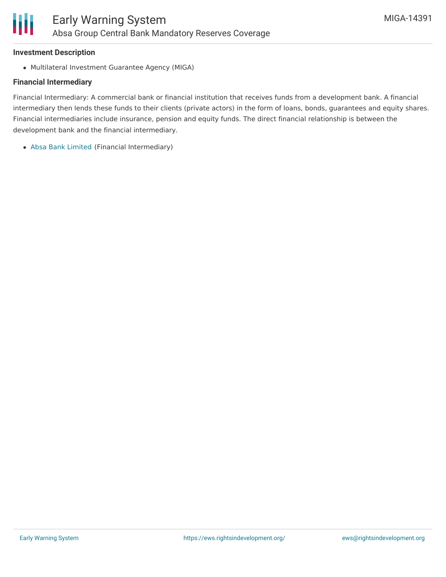#### **Investment Description**

Multilateral Investment Guarantee Agency (MIGA)

#### **Financial Intermediary**

Financial Intermediary: A commercial bank or financial institution that receives funds from a development bank. A financial intermediary then lends these funds to their clients (private actors) in the form of loans, bonds, guarantees and equity shares. Financial intermediaries include insurance, pension and equity funds. The direct financial relationship is between the development bank and the financial intermediary.

Absa Bank [Limited](file:///actor/748/) (Financial Intermediary)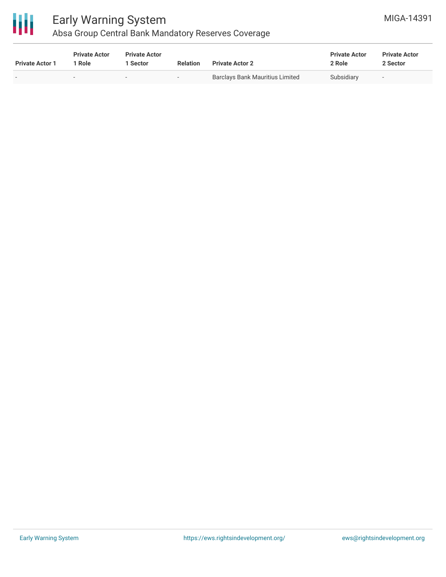

## Early Warning System Absa Group Central Bank Mandatory Reserves Coverage

| <b>Private Actor 1</b> | <b>Private Actor</b><br>1 Role | <b>Private Actor</b><br>l Sector | <b>Relation</b> | <b>Private Actor 2</b>                 | <b>Private Actor</b><br>2 Role | <b>Private Actor</b><br>2 Sector |  |
|------------------------|--------------------------------|----------------------------------|-----------------|----------------------------------------|--------------------------------|----------------------------------|--|
|                        |                                | . .                              | $\sim$          | <b>Barclays Bank Mauritius Limited</b> | Subsidiary                     | $\overline{\phantom{a}}$         |  |